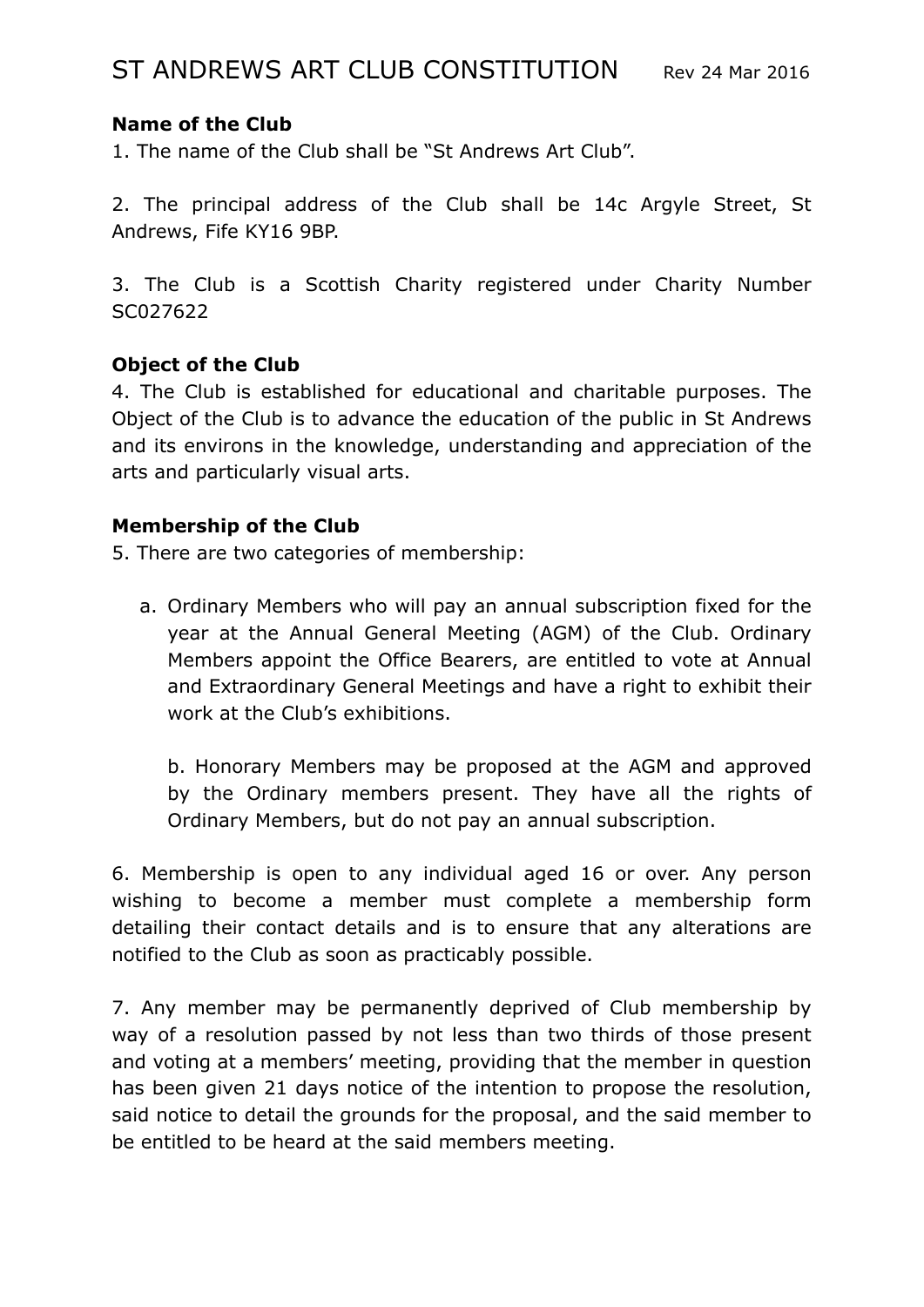# **Name of the Club**

1. The name of the Club shall be "St Andrews Art Club".

2. The principal address of the Club shall be 14c Argyle Street, St Andrews, Fife KY16 9BP.

3. The Club is a Scottish Charity registered under Charity Number SC027622

### **Object of the Club**

4. The Club is established for educational and charitable purposes. The Object of the Club is to advance the education of the public in St Andrews and its environs in the knowledge, understanding and appreciation of the arts and particularly visual arts.

### **Membership of the Club**

5. There are two categories of membership:

a. Ordinary Members who will pay an annual subscription fixed for the year at the Annual General Meeting (AGM) of the Club. Ordinary Members appoint the Office Bearers, are entitled to vote at Annual and Extraordinary General Meetings and have a right to exhibit their work at the Club's exhibitions.

b. Honorary Members may be proposed at the AGM and approved by the Ordinary members present. They have all the rights of Ordinary Members, but do not pay an annual subscription.

6. Membership is open to any individual aged 16 or over. Any person wishing to become a member must complete a membership form detailing their contact details and is to ensure that any alterations are notified to the Club as soon as practicably possible.

7. Any member may be permanently deprived of Club membership by way of a resolution passed by not less than two thirds of those present and voting at a members' meeting, providing that the member in question has been given 21 days notice of the intention to propose the resolution, said notice to detail the grounds for the proposal, and the said member to be entitled to be heard at the said members meeting.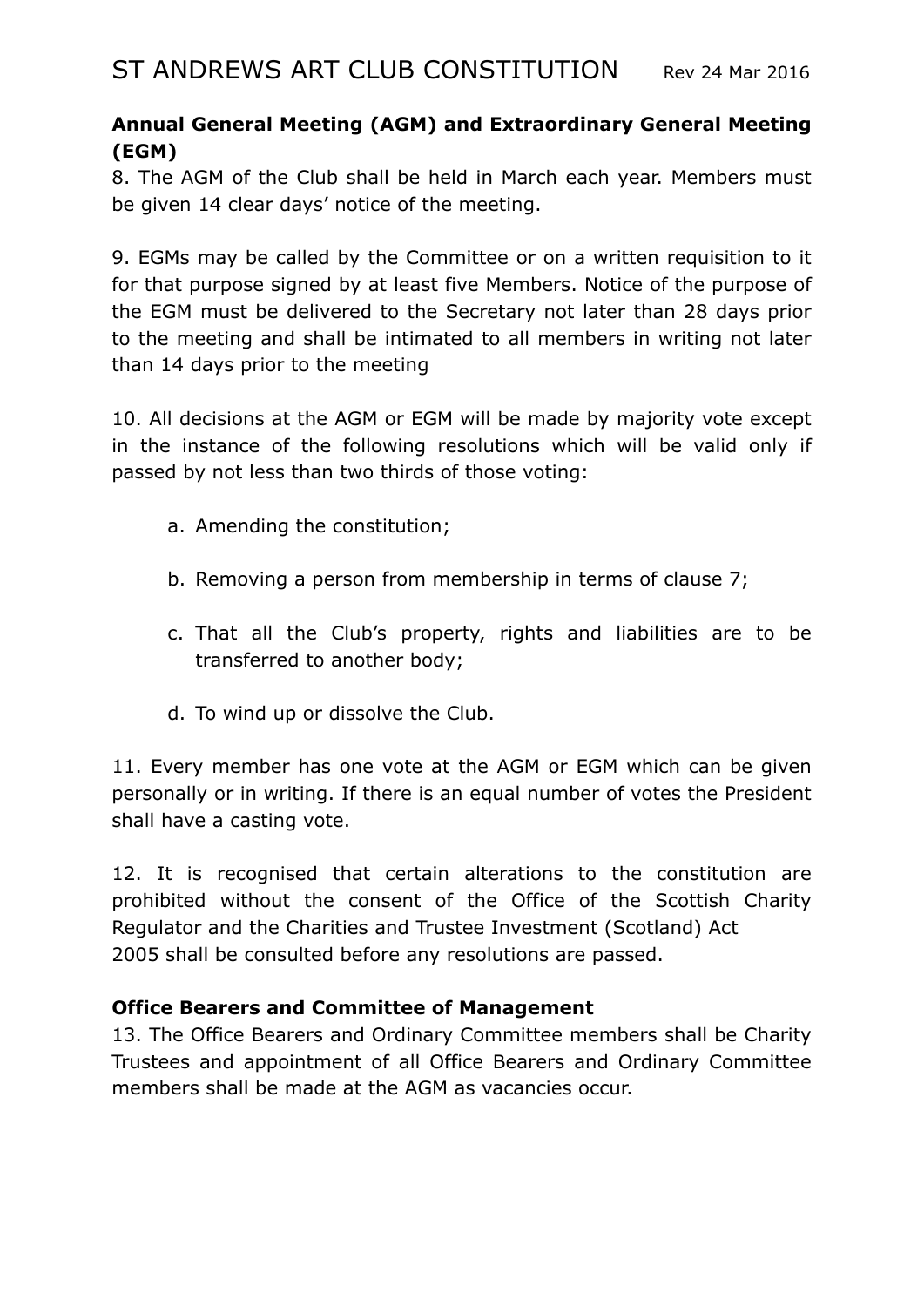# **Annual General Meeting (AGM) and Extraordinary General Meeting (EGM)**

8. The AGM of the Club shall be held in March each year. Members must be given 14 clear days' notice of the meeting.

9. EGMs may be called by the Committee or on a written requisition to it for that purpose signed by at least five Members. Notice of the purpose of the EGM must be delivered to the Secretary not later than 28 days prior to the meeting and shall be intimated to all members in writing not later than 14 days prior to the meeting

10. All decisions at the AGM or EGM will be made by majority vote except in the instance of the following resolutions which will be valid only if passed by not less than two thirds of those voting:

- a. Amending the constitution;
- b. Removing a person from membership in terms of clause 7;
- c. That all the Club's property, rights and liabilities are to be transferred to another body;
- d. To wind up or dissolve the Club.

11. Every member has one vote at the AGM or EGM which can be given personally or in writing. If there is an equal number of votes the President shall have a casting vote.

12. It is recognised that certain alterations to the constitution are prohibited without the consent of the Office of the Scottish Charity Regulator and the Charities and Trustee Investment (Scotland) Act 2005 shall be consulted before any resolutions are passed.

# **Office Bearers and Committee of Management**

13. The Office Bearers and Ordinary Committee members shall be Charity Trustees and appointment of all Office Bearers and Ordinary Committee members shall be made at the AGM as vacancies occur.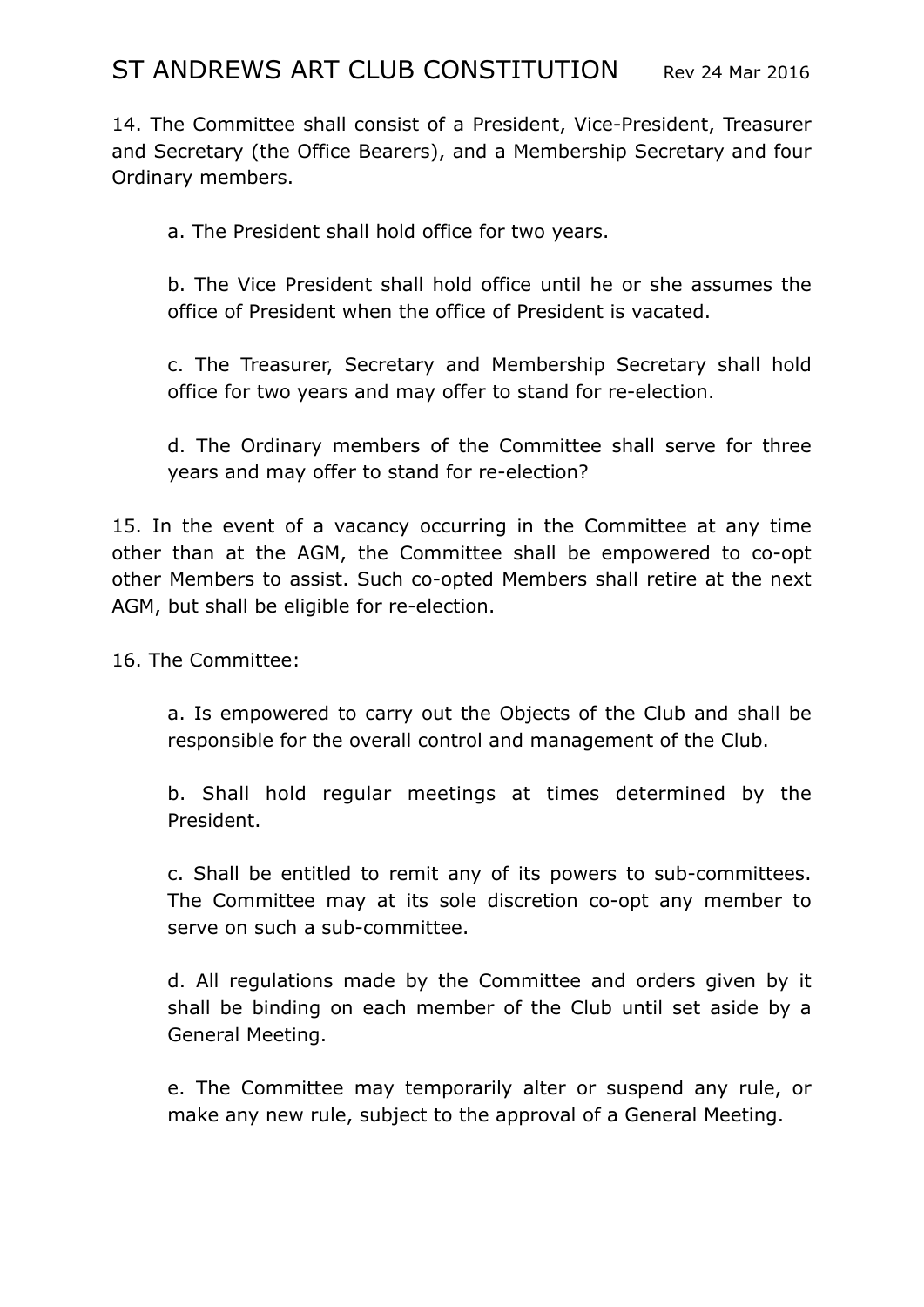14. The Committee shall consist of a President, Vice-President, Treasurer and Secretary (the Office Bearers), and a Membership Secretary and four Ordinary members.

a. The President shall hold office for two years.

b. The Vice President shall hold office until he or she assumes the office of President when the office of President is vacated.

c. The Treasurer, Secretary and Membership Secretary shall hold office for two years and may offer to stand for re-election.

d. The Ordinary members of the Committee shall serve for three years and may offer to stand for re-election?

15. In the event of a vacancy occurring in the Committee at any time other than at the AGM, the Committee shall be empowered to co-opt other Members to assist. Such co-opted Members shall retire at the next AGM, but shall be eligible for re-election.

16. The Committee:

a. Is empowered to carry out the Objects of the Club and shall be responsible for the overall control and management of the Club.

b. Shall hold regular meetings at times determined by the President.

c. Shall be entitled to remit any of its powers to sub-committees. The Committee may at its sole discretion co-opt any member to serve on such a sub-committee.

d. All regulations made by the Committee and orders given by it shall be binding on each member of the Club until set aside by a General Meeting.

e. The Committee may temporarily alter or suspend any rule, or make any new rule, subject to the approval of a General Meeting.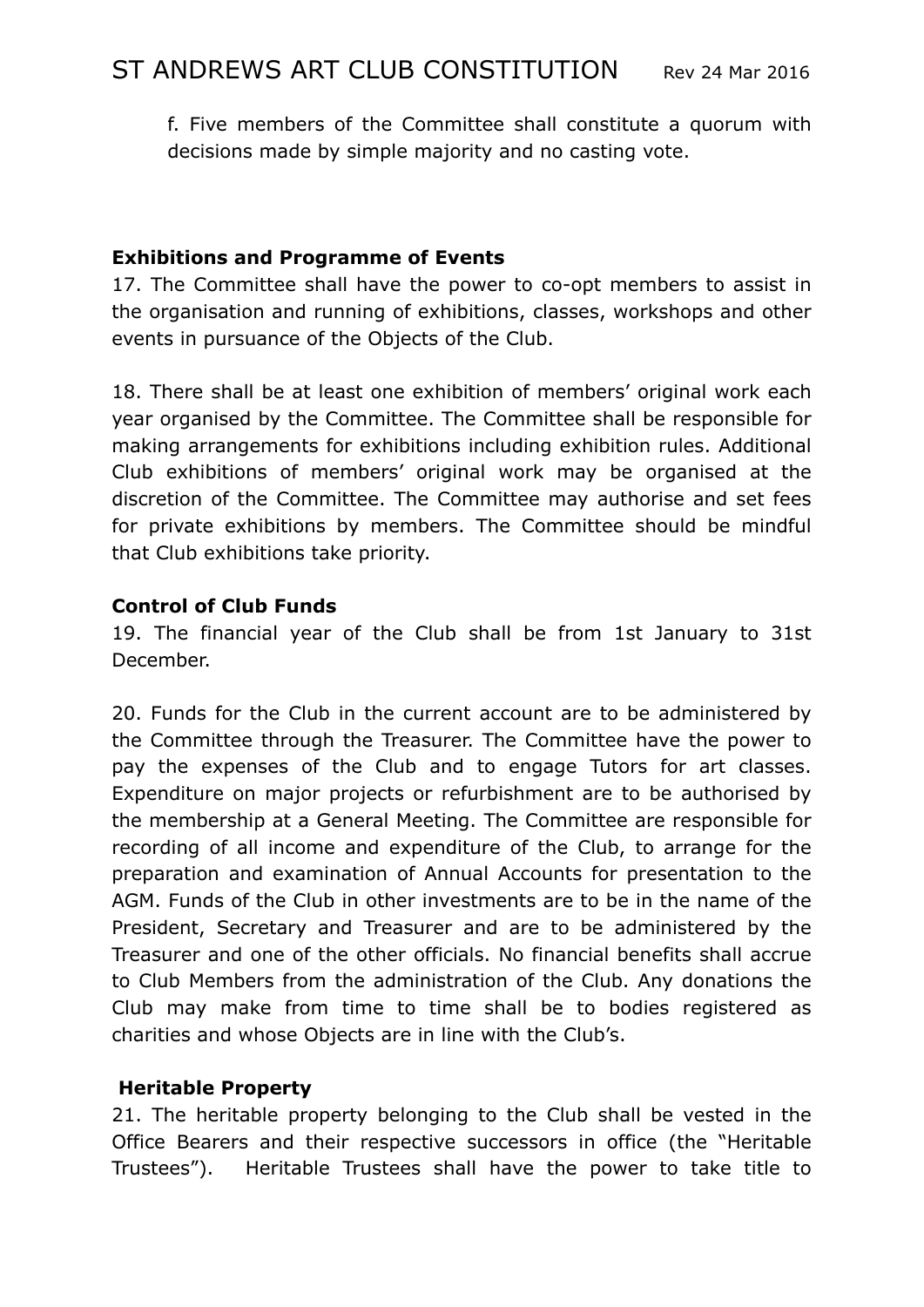f. Five members of the Committee shall constitute a quorum with decisions made by simple majority and no casting vote.

# **Exhibitions and Programme of Events**

17. The Committee shall have the power to co-opt members to assist in the organisation and running of exhibitions, classes, workshops and other events in pursuance of the Objects of the Club.

18. There shall be at least one exhibition of members' original work each year organised by the Committee. The Committee shall be responsible for making arrangements for exhibitions including exhibition rules. Additional Club exhibitions of members' original work may be organised at the discretion of the Committee. The Committee may authorise and set fees for private exhibitions by members. The Committee should be mindful that Club exhibitions take priority.

# **Control of Club Funds**

19. The financial year of the Club shall be from 1st January to 31st December.

20. Funds for the Club in the current account are to be administered by the Committee through the Treasurer. The Committee have the power to pay the expenses of the Club and to engage Tutors for art classes. Expenditure on major projects or refurbishment are to be authorised by the membership at a General Meeting. The Committee are responsible for recording of all income and expenditure of the Club, to arrange for the preparation and examination of Annual Accounts for presentation to the AGM. Funds of the Club in other investments are to be in the name of the President, Secretary and Treasurer and are to be administered by the Treasurer and one of the other officials. No financial benefits shall accrue to Club Members from the administration of the Club. Any donations the Club may make from time to time shall be to bodies registered as charities and whose Objects are in line with the Club's.

# **Heritable Property**

21. The heritable property belonging to the Club shall be vested in the Office Bearers and their respective successors in office (the "Heritable Trustees"). Heritable Trustees shall have the power to take title to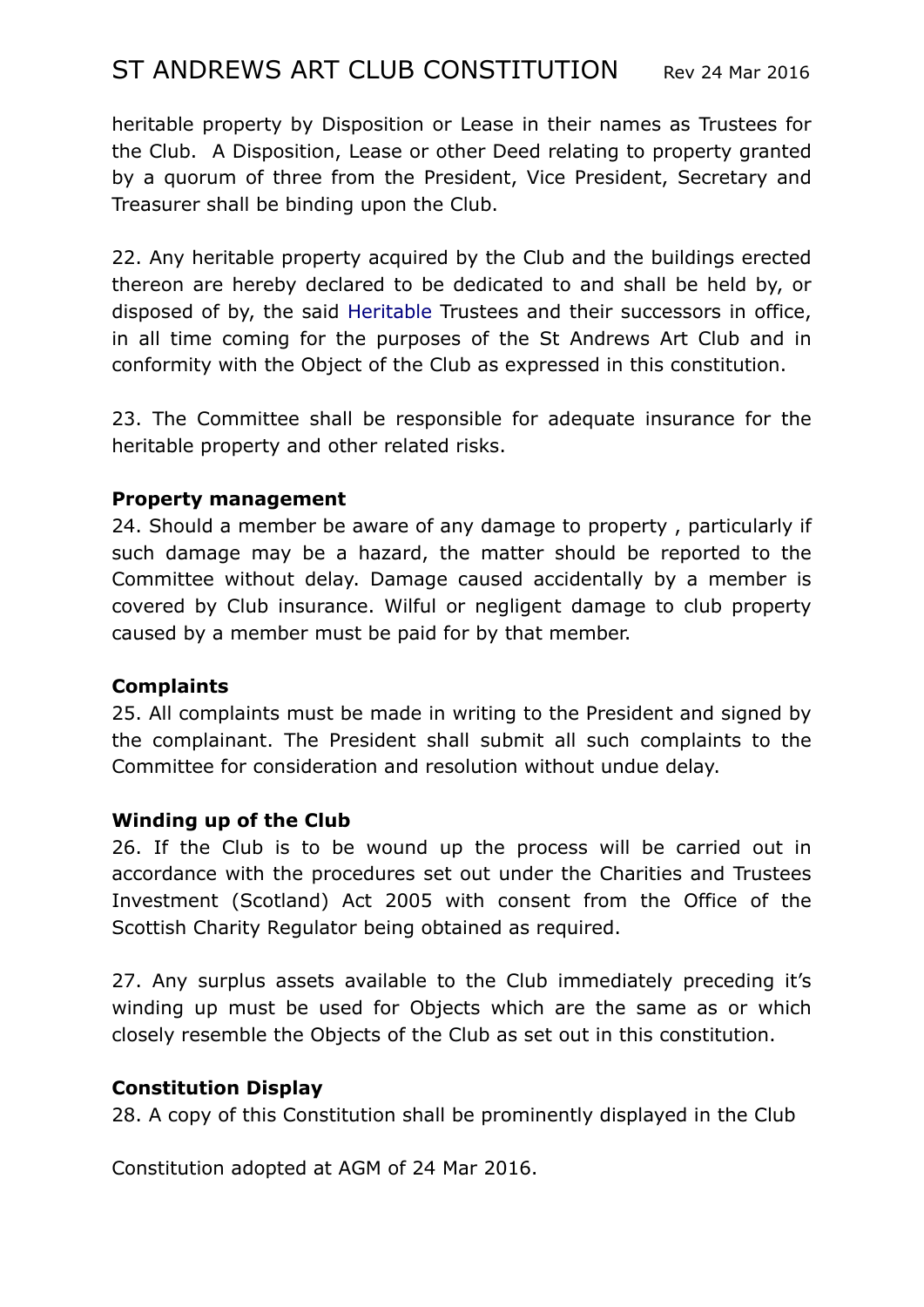# ST ANDREWS ART CLUB CONSTITUTION Rev 24 Mar 2016

heritable property by Disposition or Lease in their names as Trustees for the Club. A Disposition, Lease or other Deed relating to property granted by a quorum of three from the President, Vice President, Secretary and Treasurer shall be binding upon the Club.

22. Any heritable property acquired by the Club and the buildings erected thereon are hereby declared to be dedicated to and shall be held by, or disposed of by, the said Heritable Trustees and their successors in office, in all time coming for the purposes of the St Andrews Art Club and in conformity with the Object of the Club as expressed in this constitution.

23. The Committee shall be responsible for adequate insurance for the heritable property and other related risks.

#### **Property management**

24. Should a member be aware of any damage to property , particularly if such damage may be a hazard, the matter should be reported to the Committee without delay. Damage caused accidentally by a member is covered by Club insurance. Wilful or negligent damage to club property caused by a member must be paid for by that member.

#### **Complaints**

25. All complaints must be made in writing to the President and signed by the complainant. The President shall submit all such complaints to the Committee for consideration and resolution without undue delay.

### **Winding up of the Club**

26. If the Club is to be wound up the process will be carried out in accordance with the procedures set out under the Charities and Trustees Investment (Scotland) Act 2005 with consent from the Office of the Scottish Charity Regulator being obtained as required.

27. Any surplus assets available to the Club immediately preceding it's winding up must be used for Objects which are the same as or which closely resemble the Objects of the Club as set out in this constitution.

#### **Constitution Display**

28. A copy of this Constitution shall be prominently displayed in the Club

Constitution adopted at AGM of 24 Mar 2016.